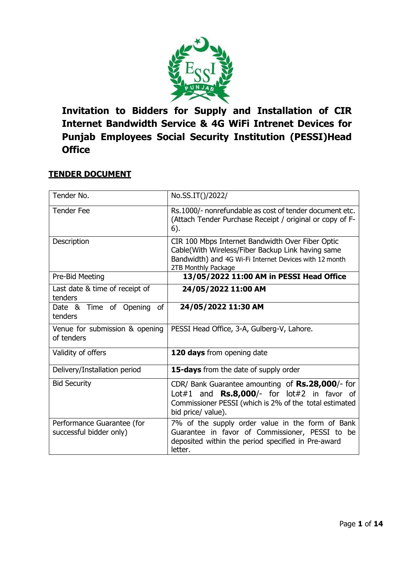

**Invitation to Bidders for Supply and Installation of CIR Internet Bandwidth Service & 4G WiFi Intrenet Devices for Punjab Employees Social Security Institution (PESSI)Head Office**

# **TENDER DOCUMENT**

| Tender No.                                            | No.SS.IT()/2022/                                                                                                                                                                                 |
|-------------------------------------------------------|--------------------------------------------------------------------------------------------------------------------------------------------------------------------------------------------------|
| <b>Tender Fee</b>                                     | Rs.1000/- nonrefundable as cost of tender document etc.<br>(Attach Tender Purchase Receipt / original or copy of F-<br>6).                                                                       |
| Description                                           | CIR 100 Mbps Internet Bandwidth Over Fiber Optic<br>Cable(With Wireless/Fiber Backup Link having same<br>Bandwidth) and 4G Wi-Fi Internet Devices with 12 month<br>2TB Monthly Package           |
| Pre-Bid Meeting                                       | 13/05/2022 11:00 AM in PESSI Head Office                                                                                                                                                         |
| Last date & time of receipt of<br>tenders             | 24/05/2022 11:00 AM                                                                                                                                                                              |
| <b>of</b><br>Date & Time of Opening<br>tenders        | 24/05/2022 11:30 AM                                                                                                                                                                              |
| Venue for submission & opening<br>of tenders          | PESSI Head Office, 3-A, Gulberg-V, Lahore.                                                                                                                                                       |
| Validity of offers                                    | 120 days from opening date                                                                                                                                                                       |
| Delivery/Installation period                          | 15-days from the date of supply order                                                                                                                                                            |
| <b>Bid Security</b>                                   | CDR/ Bank Guarantee amounting of Rs.28,000/- for<br>Lot#1 and $\mathsf{Rs.8,000}/\text{-}$ for lot#2 in favor of<br>Commissioner PESSI (which is 2% of the total estimated<br>bid price/ value). |
| Performance Guarantee (for<br>successful bidder only) | 7% of the supply order value in the form of Bank<br>Guarantee in favor of Commissioner, PESSI to be<br>deposited within the period specified in Pre-award<br>letter.                             |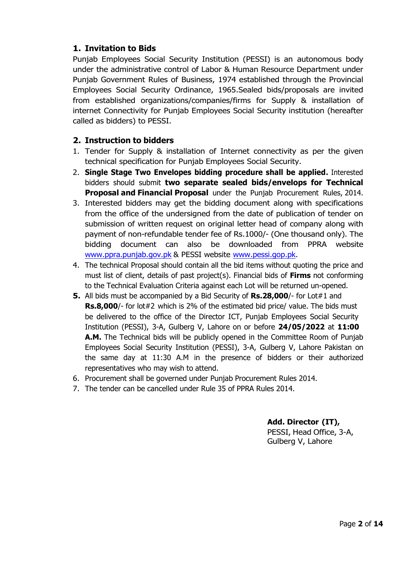## **1. Invitation to Bids**

Punjab Employees Social Security Institution (PESSI) is an autonomous body under the administrative control of Labor & Human Resource Department under Punjab Government Rules of Business, 1974 established through the Provincial Employees Social Security Ordinance, 1965.Sealed bids/proposals are invited from established organizations/companies/firms for Supply & installation of internet Connectivity for Punjab Employees Social Security institution (hereafter called as bidders) to PESSI.

## **2. Instruction to bidders**

- 1. Tender for Supply & installation of Internet connectivity as per the given technical specification for Punjab Employees Social Security.
- 2. **Single Stage Two Envelopes bidding procedure shall be applied.** Interested bidders should submit **two separate sealed bids/envelops for Technical Proposal and Financial Proposal** under the Punjab Procurement Rules, 2014.
- 3. Interested bidders may get the bidding document along with specifications from the office of the undersigned from the date of publication of tender on submission of written request on original letter head of company along with payment of non-refundable tender fee of Rs.1000/- (One thousand only). The bidding document can also be downloaded from PPRA website [www.ppra.punjab.gov.pk](http://www.ppra.punjab.gov.pk/) & PESSI website [www.pessi.gop.pk.](http://www.pessi.gop.pk/)
- 4. The technical Proposal should contain all the bid items without quoting the price and must list of client, details of past project(s). Financial bids of **Firms** not conforming to the Technical Evaluation Criteria against each Lot will be returned un-opened.
- **5.** All bids must be accompanied by a Bid Security of **Rs.28,000**/- for Lot#1 and **Rs.8,000**/- for lot#2 which is 2% of the estimated bid price/ value. The bids must be delivered to the office of the Director ICT, Punjab Employees Social Security Institution (PESSI), 3-A, Gulberg V, Lahore on or before **24/05/2022** at **11:00 A.M.** The Technical bids will be publicly opened in the Committee Room of Punjab Employees Social Security Institution (PESSI), 3-A, Gulberg V, Lahore Pakistan on the same day at 11:30 A.M in the presence of bidders or their authorized representatives who may wish to attend.
- 6. Procurement shall be governed under Punjab Procurement Rules 2014.
- 7. The tender can be cancelled under Rule 35 of PPRA Rules 2014.

**Add. Director (IT),** PESSI, Head Office, 3-A,

Gulberg V, Lahore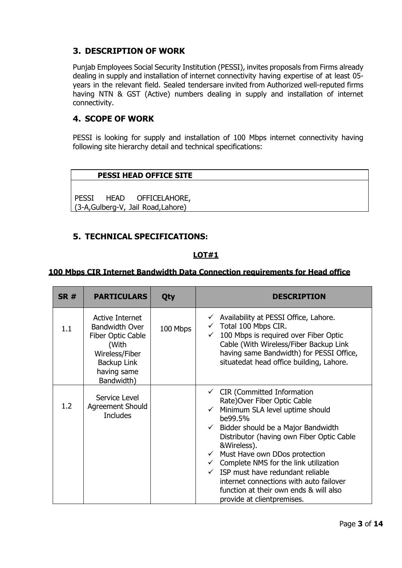# **3. DESCRIPTION OF WORK**

Punjab Employees Social Security Institution (PESSI), invites proposals from Firms already dealing in supply and installation of internet connectivity having expertise of at least 05 years in the relevant field. Sealed tendersare invited from Authorized well-reputed firms having NTN & GST (Active) numbers dealing in supply and installation of internet connectivity.

## **4. SCOPE OF WORK**

PESSI is looking for supply and installation of 100 Mbps internet connectivity having following site hierarchy detail and technical specifications:

## **PESSI HEAD OFFICE SITE**

PESSI HEAD OFFICELAHORE, (3-A,Gulberg-V, Jail Road,Lahore)

## **5. TECHNICAL SPECIFICATIONS:**

## **LOT#1**

#### **100 Mbps CIR Internet Bandwidth Data Connection requirements for Head office**

| <b>SR#</b> | <b>PARTICULARS</b>                                                                                                                   | Qty      | <b>DESCRIPTION</b>                                                                                                                                                                                                                                                                                                                                                                                                                                                                                                        |
|------------|--------------------------------------------------------------------------------------------------------------------------------------|----------|---------------------------------------------------------------------------------------------------------------------------------------------------------------------------------------------------------------------------------------------------------------------------------------------------------------------------------------------------------------------------------------------------------------------------------------------------------------------------------------------------------------------------|
| 1.1        | Active Internet<br><b>Bandwidth Over</b><br>Fiber Optic Cable<br>(With<br>Wireless/Fiber<br>Backup Link<br>having same<br>Bandwidth) | 100 Mbps | Availability at PESSI Office, Lahore.<br>$\checkmark$<br>Total 100 Mbps CIR.<br>100 Mbps is required over Fiber Optic<br>$\checkmark$<br>Cable (With Wireless/Fiber Backup Link<br>having same Bandwidth) for PESSI Office,<br>situatedat head office building, Lahore.                                                                                                                                                                                                                                                   |
| 1.2        | Service Level<br><b>Agreement Should</b><br><b>Includes</b>                                                                          |          | $\checkmark$ CIR (Committed Information<br>Rate) Over Fiber Optic Cable<br>$\checkmark$ Minimum SLA level uptime should<br>be99.5%<br>$\checkmark$ Bidder should be a Major Bandwidth<br>Distributor (having own Fiber Optic Cable<br>&Wireless).<br>$\checkmark$ Must Have own DDos protection<br>$\checkmark$ Complete NMS for the link utilization<br>$\checkmark$ ISP must have redundant reliable<br>internet connections with auto failover<br>function at their own ends & will also<br>provide at clientpremises. |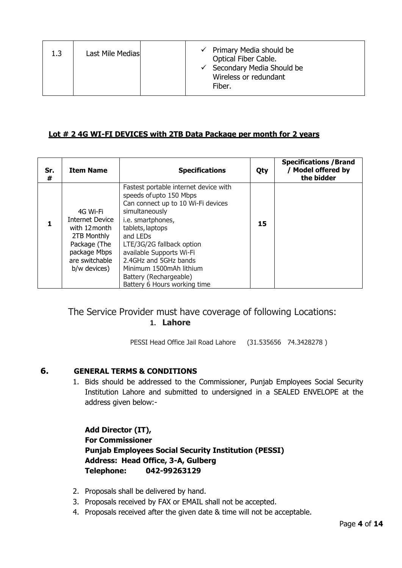| 1.3 | Last Mile Medias |  |  | $\checkmark$ Primary Media should be<br>Optical Fiber Cable.<br>$\checkmark$ Secondary Media Should be<br>Wireless or redundant<br>Fiber. |
|-----|------------------|--|--|-------------------------------------------------------------------------------------------------------------------------------------------|
|-----|------------------|--|--|-------------------------------------------------------------------------------------------------------------------------------------------|

## **Lot # 2 4G WI-FI DEVICES with 2TB Data Package per month for 2 years**

| Sr.<br># | <b>Item Name</b>                                                                                                                     | <b>Specifications</b>                                                                                                                                                                                                                                                                                                                                            | Qty | <b>Specifications / Brand</b><br><b>Model offered by</b><br>the bidder |
|----------|--------------------------------------------------------------------------------------------------------------------------------------|------------------------------------------------------------------------------------------------------------------------------------------------------------------------------------------------------------------------------------------------------------------------------------------------------------------------------------------------------------------|-----|------------------------------------------------------------------------|
|          | 4G Wi-Fi<br><b>Internet Device</b><br>with 12 month<br>2TB Monthly<br>Package (The<br>package Mbps<br>are switchable<br>b/w devices) | Fastest portable internet device with<br>speeds of upto 150 Mbps<br>Can connect up to 10 Wi-Fi devices<br>simultaneously<br>i.e. smartphones,<br>tablets, laptops<br>and LED <sub>S</sub><br>LTE/3G/2G fallback option<br>available Supports Wi-Fi<br>2.4GHz and 5GHz bands<br>Minimum 1500mAh lithium<br>Battery (Rechargeable)<br>Battery 6 Hours working time | 15  |                                                                        |

# The Service Provider must have coverage of following Locations: **1. Lahore**

PESSI Head Office Jail Road Lahore (31.535656 74.3428278 )

## **6. GENERAL TERMS & CONDITIONS**

1. Bids should be addressed to the Commissioner, Punjab Employees Social Security Institution Lahore and submitted to undersigned in a SEALED ENVELOPE at the address given below:-

**Add Director (IT), For Commissioner Punjab Employees Social Security Institution (PESSI) Address: Head Office, 3-A, Gulberg Telephone: 042-99263129**

- 2. Proposals shall be delivered by hand.
- 3. Proposals received by FAX or EMAIL shall not be accepted.
- 4. Proposals received after the given date & time will not be acceptable.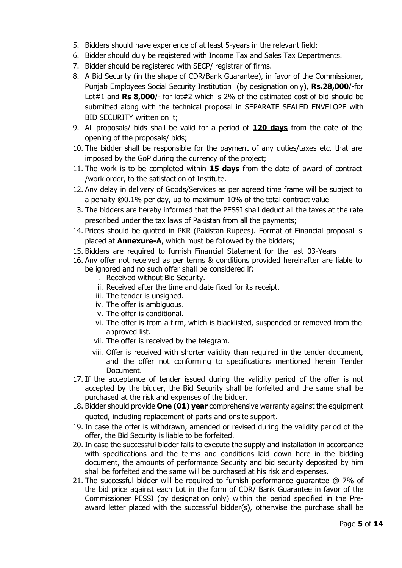- 5. Bidders should have experience of at least 5-years in the relevant field;
- 6. Bidder should duly be registered with Income Tax and Sales Tax Departments.
- 7. Bidder should be registered with SECP/ registrar of firms.
- 8. A Bid Security (in the shape of CDR/Bank Guarantee), in favor of the Commissioner, Punjab Employees Social Security Institution (by designation only), **Rs.28,000**/-for Lot#1 and **Rs 8,000**/- for lot#2 which is 2% of the estimated cost of bid should be submitted along with the technical proposal in SEPARATE SEALED ENVELOPE with BID SECURITY written on it;
- 9. All proposals/ bids shall be valid for a period of **120 days** from the date of the opening of the proposals/ bids;
- 10. The bidder shall be responsible for the payment of any duties/taxes etc. that are imposed by the GoP during the currency of the project;
- 11. The work is to be completed within **15 days** from the date of award of contract /work order, to the satisfaction of Institute.
- 12. Any delay in delivery of Goods/Services as per agreed time frame will be subject to a penalty @0.1% per day, up to maximum 10% of the total contract value
- 13. The bidders are hereby informed that the PESSI shall deduct all the taxes at the rate prescribed under the tax laws of Pakistan from all the payments;
- 14. Prices should be quoted in PKR (Pakistan Rupees). Format of Financial proposal is placed at **Annexure-A**, which must be followed by the bidders;
- 15. Bidders are required to furnish Financial Statement for the last 03-Years
- 16. Any offer not received as per terms & conditions provided hereinafter are liable to be ignored and no such offer shall be considered if:
	- i. Received without Bid Security.
	- ii. Received after the time and date fixed for its receipt.
	- iii. The tender is unsigned.
	- iv. The offer is ambiguous.
	- v. The offer is conditional.
	- vi. The offer is from a firm, which is blacklisted, suspended or removed from the approved list.
	- vii. The offer is received by the telegram.
	- viii. Offer is received with shorter validity than required in the tender document, and the offer not conforming to specifications mentioned herein Tender Document.
- 17. If the acceptance of tender issued during the validity period of the offer is not accepted by the bidder, the Bid Security shall be forfeited and the same shall be purchased at the risk and expenses of the bidder.
- 18. Bidder should provide **One (01) year** comprehensive warranty against the equipment quoted, including replacement of parts and onsite support.
- 19. In case the offer is withdrawn, amended or revised during the validity period of the offer, the Bid Security is liable to be forfeited.
- 20. In case the successful bidder fails to execute the supply and installation in accordance with specifications and the terms and conditions laid down here in the bidding document, the amounts of performance Security and bid security deposited by him shall be forfeited and the same will be purchased at his risk and expenses.
- 21. The successful bidder will be required to furnish performance guarantee @ 7% of the bid price against each Lot in the form of CDR/ Bank Guarantee in favor of the Commissioner PESSI (by designation only) within the period specified in the Preaward letter placed with the successful bidder(s), otherwise the purchase shall be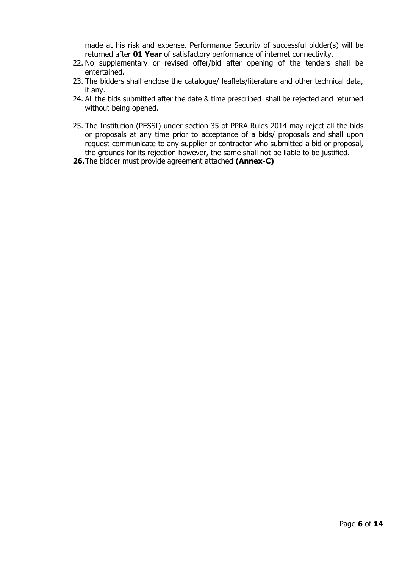made at his risk and expense. Performance Security of successful bidder(s) will be returned after **01 Year** of satisfactory performance of internet connectivity.

- 22. No supplementary or revised offer/bid after opening of the tenders shall be entertained.
- 23. The bidders shall enclose the catalogue/ leaflets/literature and other technical data, if any.
- 24. All the bids submitted after the date & time prescribed shall be rejected and returned without being opened.
- 25. The Institution (PESSI) under section 35 of PPRA Rules 2014 may reject all the bids or proposals at any time prior to acceptance of a bids/ proposals and shall upon request communicate to any supplier or contractor who submitted a bid or proposal, the grounds for its rejection however, the same shall not be liable to be justified.
- **26.**The bidder must provide agreement attached **(Annex-C)**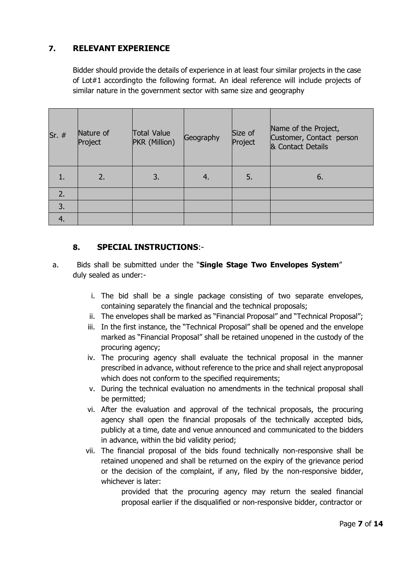# **7. RELEVANT EXPERIENCE**

Bidder should provide the details of experience in at least four similar projects in the case of Lot#1 accordingto the following format. An ideal reference will include projects of similar nature in the government sector with same size and geography

| $Sr.$ #          | Nature of<br>Project | <b>Total Value</b><br>PKR (Million) | Geography | Size of<br>Project | Name of the Project,<br>Customer, Contact person<br>& Contact Details |
|------------------|----------------------|-------------------------------------|-----------|--------------------|-----------------------------------------------------------------------|
| 1.               | 2.                   | 3.                                  | $-4.$     | 5.                 | 6.                                                                    |
| 2.               |                      |                                     |           |                    |                                                                       |
| 3.               |                      |                                     |           |                    |                                                                       |
| $\overline{4}$ . |                      |                                     |           |                    |                                                                       |

## **8. SPECIAL INSTRUCTIONS**:-

- a. Bids shall be submitted under the "**Single Stage Two Envelopes System**" duly sealed as under:
	- i. The bid shall be a single package consisting of two separate envelopes, containing separately the financial and the technical proposals;
	- ii. The envelopes shall be marked as "Financial Proposal" and "Technical Proposal";
	- iii. In the first instance, the "Technical Proposal" shall be opened and the envelope marked as "Financial Proposal" shall be retained unopened in the custody of the procuring agency;
	- iv. The procuring agency shall evaluate the technical proposal in the manner prescribed in advance, without reference to the price and shall reject anyproposal which does not conform to the specified requirements;
	- v. During the technical evaluation no amendments in the technical proposal shall be permitted;
	- vi. After the evaluation and approval of the technical proposals, the procuring agency shall open the financial proposals of the technically accepted bids, publicly at a time, date and venue announced and communicated to the bidders in advance, within the bid validity period;
	- vii. The financial proposal of the bids found technically non-responsive shall be retained unopened and shall be returned on the expiry of the grievance period or the decision of the complaint, if any, filed by the non-responsive bidder, whichever is later:

provided that the procuring agency may return the sealed financial proposal earlier if the disqualified or non-responsive bidder, contractor or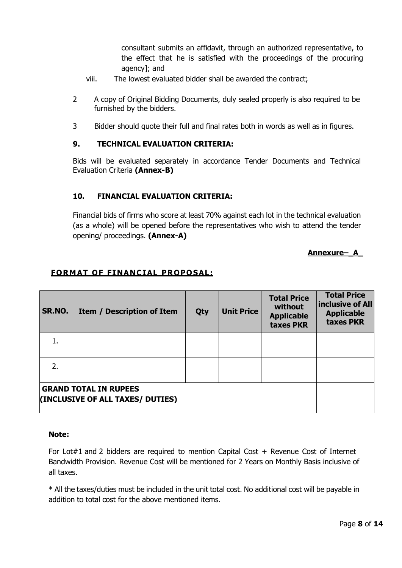consultant submits an affidavit, through an authorized representative, to the effect that he is satisfied with the proceedings of the procuring agency]; and

- viii. The lowest evaluated bidder shall be awarded the contract;
- 2 A copy of Original Bidding Documents, duly sealed properly is also required to be furnished by the bidders.
- 3 Bidder should quote their full and final rates both in words as well as in figures.

#### **9. TECHNICAL EVALUATION CRITERIA:**

Bids will be evaluated separately in accordance Tender Documents and Technical Evaluation Criteria **(Annex-B)**

#### **10. FINANCIAL EVALUATION CRITERIA:**

Financial bids of firms who score at least 70% against each lot in the technical evaluation (as a whole) will be opened before the representatives who wish to attend the tender opening/ proceedings. **(Annex-A)**

#### **Annexure–\_A\_**

## **FORMAT OF FINANCIAL PROPOSAL:**

| SR.NO. | <b>Item / Description of Item</b>                                | Qty | <b>Unit Price</b> | <b>Total Price</b><br>without<br><b>Applicable</b><br>taxes PKR | <b>Total Price</b><br>inclusive of All<br><b>Applicable</b><br>taxes PKR |
|--------|------------------------------------------------------------------|-----|-------------------|-----------------------------------------------------------------|--------------------------------------------------------------------------|
| 1.     |                                                                  |     |                   |                                                                 |                                                                          |
| 2.     |                                                                  |     |                   |                                                                 |                                                                          |
|        | <b>GRAND TOTAL IN RUPEES</b><br>(INCLUSIVE OF ALL TAXES/ DUTIES) |     |                   |                                                                 |                                                                          |

#### **Note:**

For Lot#1 and 2 bidders are required to mention Capital Cost  $+$  Revenue Cost of Internet Bandwidth Provision. Revenue Cost will be mentioned for 2 Years on Monthly Basis inclusive of all taxes.

\* All the taxes/duties must be included in the unit total cost. No additional cost will be payable in addition to total cost for the above mentioned items.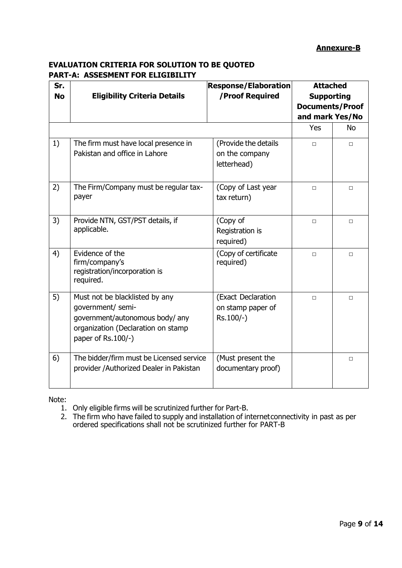## **Annexure-B**

## **EVALUATION CRITERIA FOR SOLUTION TO BE QUOTED PART-A: ASSESMENT FOR ELIGIBILITY**

| Sr.<br><b>No</b> | <b>Eligibility Criteria Details</b>                                                                                                                | <b>Response/Elaboration</b><br>/Proof Required        | <b>Attached</b><br><b>Supporting</b><br><b>Documents/Proof</b><br>and mark Yes/No<br>Yes | <b>No</b> |
|------------------|----------------------------------------------------------------------------------------------------------------------------------------------------|-------------------------------------------------------|------------------------------------------------------------------------------------------|-----------|
| 1)               | The firm must have local presence in<br>Pakistan and office in Lahore                                                                              | (Provide the details<br>on the company<br>letterhead) | $\Box$                                                                                   | $\Box$    |
| 2)               | The Firm/Company must be regular tax-<br>payer                                                                                                     | (Copy of Last year<br>tax return)                     | $\Box$                                                                                   | $\Box$    |
| 3)               | Provide NTN, GST/PST details, if<br>applicable.                                                                                                    | (Copy of<br>Registration is<br>required)              | $\Box$                                                                                   | $\Box$    |
| 4)               | Evidence of the<br>firm/company's<br>registration/incorporation is<br>required.                                                                    | (Copy of certificate<br>required)                     | $\Box$                                                                                   | $\Box$    |
| 5)               | Must not be blacklisted by any<br>government/ semi-<br>government/autonomous body/ any<br>organization (Declaration on stamp<br>paper of Rs.100/-) | (Exact Declaration<br>on stamp paper of<br>Rs.100/-)  | $\Box$                                                                                   | $\Box$    |
| 6)               | The bidder/firm must be Licensed service<br>provider / Authorized Dealer in Pakistan                                                               | (Must present the<br>documentary proof)               |                                                                                          | $\Box$    |

Note:

1. Only eligible firms will be scrutinized further for Part-B.

2. The firm who have failed to supply and installation of internet connectivity in past as per ordered specifications shall not be scrutinized further for PART-B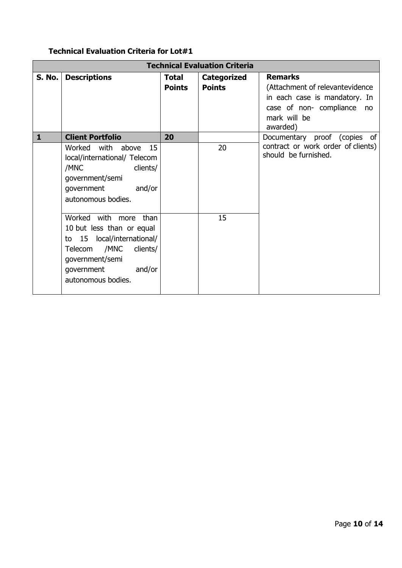# **Technical Evaluation Criteria for Lot#1**

|              | <b>Technical Evaluation Criteria</b>                                                                                                                                          |               |                    |                                                                   |  |
|--------------|-------------------------------------------------------------------------------------------------------------------------------------------------------------------------------|---------------|--------------------|-------------------------------------------------------------------|--|
| S. No.       | <b>Descriptions</b>                                                                                                                                                           | <b>Total</b>  | <b>Categorized</b> | <b>Remarks</b>                                                    |  |
|              |                                                                                                                                                                               | <b>Points</b> | <b>Points</b>      | (Attachment of relevantevidence)<br>in each case is mandatory. In |  |
|              |                                                                                                                                                                               |               |                    | case of non-compliance<br>no<br>mark will be<br>awarded)          |  |
| $\mathbf{1}$ | <b>Client Portfolio</b>                                                                                                                                                       | 20            |                    | Documentary proof (copies of                                      |  |
|              | Worked with above 15<br>local/international/ Telecom<br>/MNC<br>clients/<br>government/semi<br>and/or<br>government<br>autonomous bodies.                                     |               | 20                 | contract or work order of clients)<br>should be furnished.        |  |
|              | Worked with more than<br>10 but less than or equal<br>to 15 local/international/<br>Telecom /MNC<br>clients/<br>government/semi<br>and/or<br>government<br>autonomous bodies. |               | 15                 |                                                                   |  |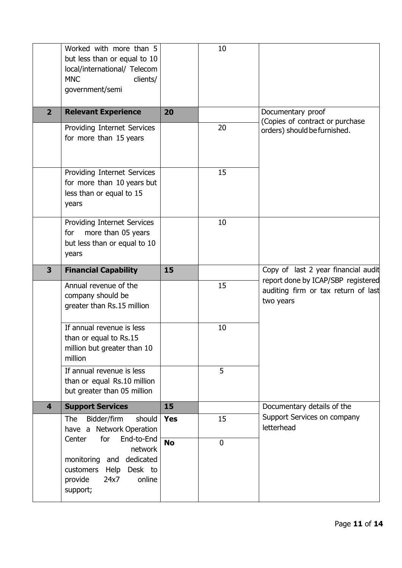|                         | Worked with more than 5<br>but less than or equal to 10<br>local/international/ Telecom<br><b>MNC</b><br>clients/<br>government/semi       |            | 10             |                                                                           |
|-------------------------|--------------------------------------------------------------------------------------------------------------------------------------------|------------|----------------|---------------------------------------------------------------------------|
| $\overline{2}$          | <b>Relevant Experience</b>                                                                                                                 | 20         |                | Documentary proof<br>(Copies of contract or purchase                      |
|                         | Providing Internet Services<br>for more than 15 years                                                                                      |            | 20             | orders) should be furnished.                                              |
|                         | Providing Internet Services<br>for more than 10 years but<br>less than or equal to 15<br>years                                             |            | 15             |                                                                           |
|                         | Providing Internet Services<br>more than 05 years<br>for<br>but less than or equal to 10<br>years                                          |            | 10             |                                                                           |
| 3                       | <b>Financial Capability</b>                                                                                                                | 15         |                | Copy of last 2 year financial audit<br>report done by ICAP/SBP registered |
|                         | Annual revenue of the<br>company should be<br>greater than Rs.15 million                                                                   |            | 15             | auditing firm or tax return of last<br>two years                          |
|                         | If annual revenue is less<br>than or equal to Rs.15<br>million but greater than 10<br>million                                              |            | 10             |                                                                           |
|                         | If annual revenue is less<br>than or equal Rs.10 million<br>but greater than 05 million                                                    |            | 5              |                                                                           |
| $\overline{\mathbf{4}}$ | <b>Support Services</b>                                                                                                                    | 15         |                | Documentary details of the                                                |
|                         | Bidder/firm<br>should<br><b>The</b><br>have a Network Operation<br>for                                                                     | <b>Yes</b> | 15             | Support Services on company<br>letterhead                                 |
|                         | End-to-End<br>Center<br>network<br>dedicated<br>monitoring<br>and<br>customers<br>Help<br>Desk to<br>online<br>24x7<br>provide<br>support; | <b>No</b>  | $\overline{0}$ |                                                                           |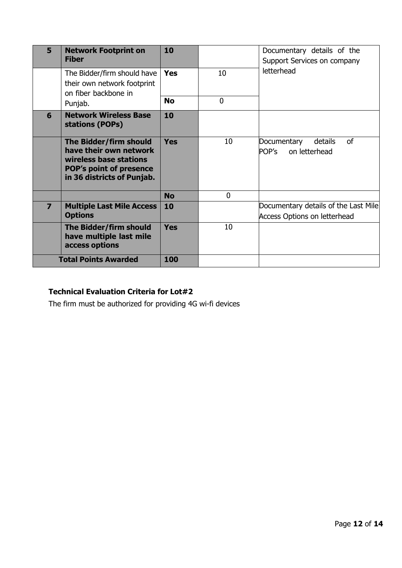| 5                       | <b>Network Footprint on</b><br><b>Fiber</b>                                                                                                | 10         |                | Documentary details of the<br>Support Services on company                   |
|-------------------------|--------------------------------------------------------------------------------------------------------------------------------------------|------------|----------------|-----------------------------------------------------------------------------|
|                         | The Bidder/firm should have<br>their own network footprint<br>on fiber backbone in                                                         | <b>Yes</b> | 10             | letterhead                                                                  |
|                         | Punjab.                                                                                                                                    | <b>No</b>  | $\overline{0}$ |                                                                             |
| 6                       | <b>Network Wireless Base</b><br>stations (POPs)                                                                                            | 10         |                |                                                                             |
|                         | The Bidder/firm should<br>have their own network<br>wireless base stations<br><b>POP's point of presence</b><br>in 36 districts of Punjab. | Yes        | 10             | <sub>of</sub><br>Documentary<br>details<br>POP's<br>on letterhead           |
|                         |                                                                                                                                            | <b>No</b>  | 0              |                                                                             |
| $\overline{\mathbf{z}}$ | <b>Multiple Last Mile Access</b><br><b>Options</b>                                                                                         | 10         |                | Documentary details of the Last Mile<br><b>Access Options on letterhead</b> |
|                         | The Bidder/firm should<br>have multiple last mile<br>access options                                                                        | <b>Yes</b> | 10             |                                                                             |
|                         | <b>Total Points Awarded</b>                                                                                                                | 100        |                |                                                                             |

# **Technical Evaluation Criteria for Lot#2**

The firm must be authorized for providing 4G wi-fi devices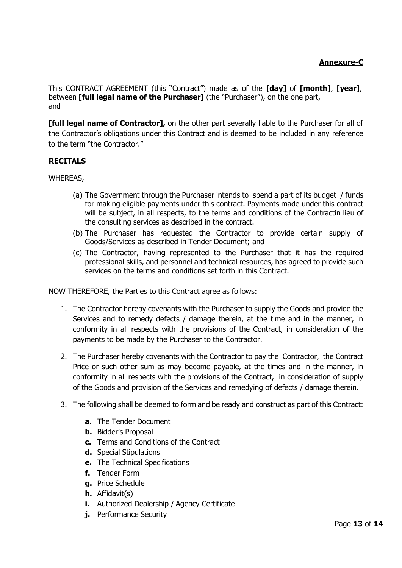This CONTRACT AGREEMENT (this "Contract") made as of the **[day]** of **[month]**, **[year]**, between **[full legal name of the Purchaser]** (the "Purchaser"), on the one part, and

**[full legal name of Contractor],** on the other part severally liable to the Purchaser for all of the Contractor's obligations under this Contract and is deemed to be included in any reference to the term "the Contractor."

## **RECITALS**

WHEREAS,

- (a) The Government through the Purchaser intends to spend a part of its budget / funds for making eligible payments under this contract. Payments made under this contract will be subject, in all respects, to the terms and conditions of the Contractin lieu of the consulting services as described in the contract.
- (b) The Purchaser has requested the Contractor to provide certain supply of Goods/Services as described in Tender Document; and
- (c) The Contractor, having represented to the Purchaser that it has the required professional skills, and personnel and technical resources, has agreed to provide such services on the terms and conditions set forth in this Contract.

NOW THEREFORE, the Parties to this Contract agree as follows:

- 1. The Contractor hereby covenants with the Purchaser to supply the Goods and provide the Services and to remedy defects / damage therein, at the time and in the manner, in conformity in all respects with the provisions of the Contract, in consideration of the payments to be made by the Purchaser to the Contractor.
- 2. The Purchaser hereby covenants with the Contractor to pay the Contractor, the Contract Price or such other sum as may become payable, at the times and in the manner, in conformity in all respects with the provisions of the Contract, in consideration of supply of the Goods and provision of the Services and remedying of defects / damage therein.
- 3. The following shall be deemed to form and be ready and construct as part of this Contract:
	- **a.** The Tender Document
	- **b.** Bidder's Proposal
	- **c.** Terms and Conditions of the Contract
	- **d.** Special Stipulations
	- **e.** The Technical Specifications
	- **f.** Tender Form
	- **g.** Price Schedule
	- **h.** Affidavit(s)
	- **i.** Authorized Dealership / Agency Certificate
	- **j.** Performance Security